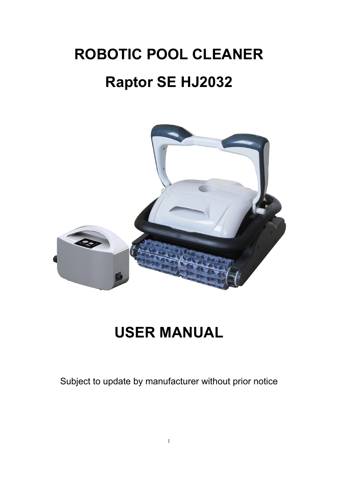# **ROBOTIC POOL CLEANER Raptor SE HJ2032**



## **USER MANUAL**

Subject to update by manufacturer without prior notice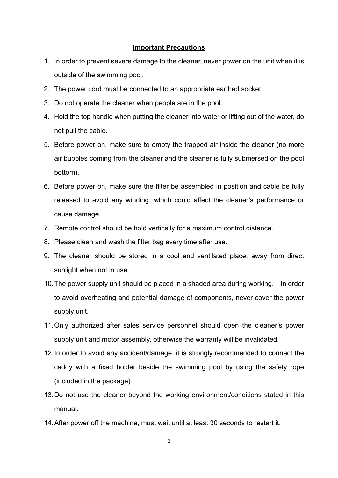#### **Important Precautions**

- 1. In order to prevent severe damage to the cleaner, never power on the unit when it is outside of the swimming pool.
- 2. The power cord must be connected to an appropriate earthed socket.
- 3. Do not operate the cleaner when people are in the pool.
- 4. Hold the top handle when putting the cleaner into water or lifting out of the water, do not pull the cable.
- 5. Before power on, make sure to empty the trapped air inside the cleaner (no more air bubbles coming from the cleaner and the cleaner is fully submersed on the pool bottom).
- 6. Before power on, make sure the filter be assembled in position and cable be fully released to avoid any winding, which could affect the cleaner's performance or cause damage.
- 7. Remote control should be hold vertically for a maximum control distance.
- 8. Please clean and wash the filter bag every time after use.
- 9. The cleaner should be stored in a cool and ventilated place, away from direct sunlight when not in use.
- 10. The power supply unit should be placed in a shaded area during working. In order to avoid overheating and potential damage of components, never cover the power supply unit.
- 11. Only authorized after sales service personnel should open the cleaner's power supply unit and motor assembly, otherwise the warranty will be invalidated.
- 12. In order to avoid any accident/damage, it is strongly recommended to connect the caddy with a fixed holder beside the swimming pool by using the safety rope (included in the package).
- 13. Do not use the cleaner beyond the working environment/conditions stated in this manual.
- 14. After power off the machine, must wait until at least 30 seconds to restart it.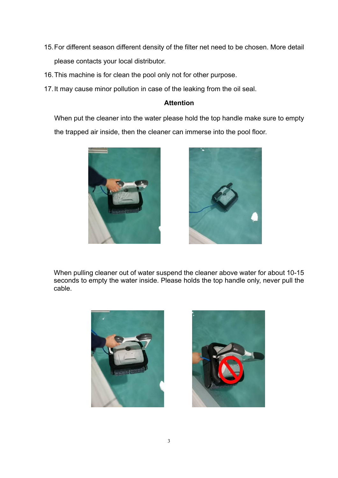- 15. For different season different density of the filter net need to be chosen. More detail please contacts your local distributor.
- 16. This machine is for clean the pool only not for other purpose.
- 17. It may cause minor pollution in case of the leaking from the oil seal.

#### **Attention**

When put the cleaner into the water please hold the top handle make sure to empty the trapped air inside, then the cleaner can immerse into the pool floor.





When pulling cleaner out of water suspend the cleaner above water for about 10-15 seconds to empty the water inside. Please holds the top handle only, never pull the cable.



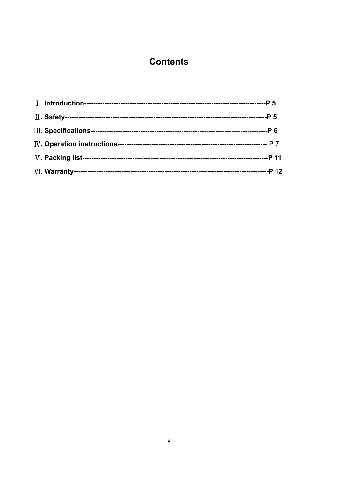## **Contents**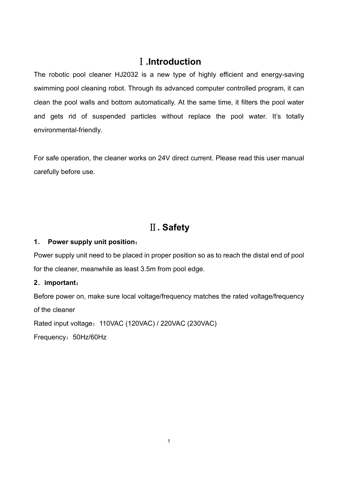#### Ⅰ**.Introduction**

The robotic pool cleaner HJ2032 is a new type of highly efficient and energy-saving swimming pool cleaning robot. Through its advanced computer controlled program, it can clean the pool walls and bottom automatically. At the same time, it filters the pool water and gets rid of suspended particles without replace the pool water. It's totally environmental-friendly.

For safe operation, the cleaner works on 24V direct current. Please read this user manual carefully before use.

## Ⅱ**. Safety**

#### **1**. **Power supply unit position**:

Power supply unit need to be placed in proper position so as to reach the distal end of pool for the cleaner, meanwhile as least 3.5m from pool edge.

#### **2**.**important**:

Before power on, make sure local voltage/frequency matches the rated voltage/frequency of the cleaner

Rated input voltage:110VAC (120VAC) / 220VAC (230VAC)

Frequency:50Hz/60Hz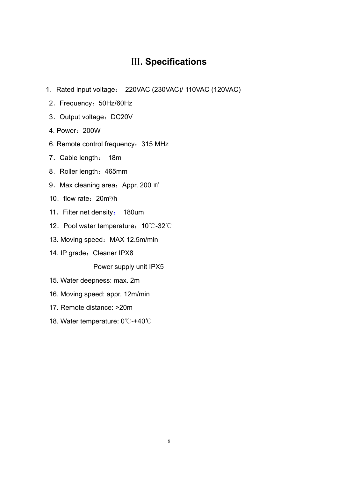#### Ⅲ**. Specifications**

- 1.Rated input voltage: 220VAC (230VAC)/ 110VAC (120VAC)
- 2.Frequency:50Hz/60Hz
- 3. Output voltage: DC20V
- 4. Power:200W
- 6. Remote control frequency:315 MHz
- 7.Cable length: 18m
- 8. Roller length: 465mm
- 9. Max cleaning area: Appr. 200 m<sup>2</sup>
- 10. flow rate: 20m<sup>3</sup>/h
- 11. Filter net density: 180um
- 12. Pool water temperature: 10℃-32℃
- 13. Moving speed: MAX 12.5m/min
- 14. IP grade: Cleaner IPX8

Power supply unit IPX5

- 15. Water deepness: max. 2m
- 16. Moving speed: appr. 12m/min
- 17. Remote distance: >20m
- 18. Water temperature: 0℃-+40℃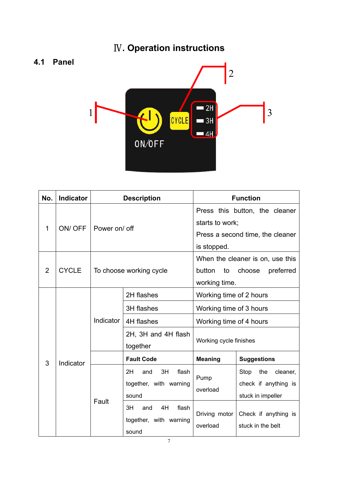## Ⅳ**. Operation instructions**



| No.            | <b>Indicator</b> | <b>Description</b> |                                                                                                                            | <b>Function</b>                                                                                      |                                                                                                                   |  |
|----------------|------------------|--------------------|----------------------------------------------------------------------------------------------------------------------------|------------------------------------------------------------------------------------------------------|-------------------------------------------------------------------------------------------------------------------|--|
| 1              | ON/OFF           | Power on/ off      |                                                                                                                            | Press this button, the cleaner<br>starts to work;<br>Press a second time, the cleaner<br>is stopped. |                                                                                                                   |  |
| $\overline{2}$ | <b>CYCLE</b>     |                    | To choose working cycle                                                                                                    | button<br>to<br>working time.                                                                        | When the cleaner is on, use this<br>choose<br>preferred                                                           |  |
|                | Indicator        | Indicator          | 2H flashes                                                                                                                 | Working time of 2 hours                                                                              |                                                                                                                   |  |
|                |                  |                    | <b>3H</b> flashes                                                                                                          | Working time of 3 hours                                                                              |                                                                                                                   |  |
|                |                  |                    | 4H flashes                                                                                                                 | Working time of 4 hours                                                                              |                                                                                                                   |  |
|                |                  |                    | 2H, 3H and 4H flash<br>together                                                                                            | Working cycle finishes                                                                               |                                                                                                                   |  |
| 3              |                  |                    | <b>Fault Code</b>                                                                                                          | <b>Meaning</b>                                                                                       | <b>Suggestions</b>                                                                                                |  |
|                |                  | Fault              | 3H<br>flash<br>2H<br>and<br>together, with warning<br>sound<br>4H<br>3H<br>flash<br>and<br>together, with warning<br>sound | Pump<br>overload<br>Driving motor<br>overload                                                        | Stop<br>the<br>cleaner,<br>check if anything is<br>stuck in impeller<br>Check if anything is<br>stuck in the belt |  |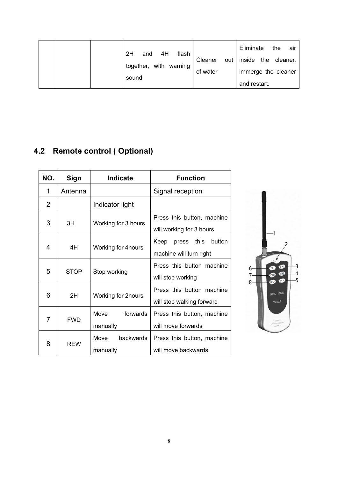|  | 2H<br>4H<br>flash<br>and<br>together, with warning<br>sound | of water | Eliminate<br>the<br>air<br>Cleaner out inside the cleaner,<br>immerge the cleaner<br>and restart. |
|--|-------------------------------------------------------------|----------|---------------------------------------------------------------------------------------------------|
|  |                                                             |          |                                                                                                   |

## **4.2 Remote control ( Optional)**

| NO.            | Sign        | <b>Indicate</b>               | <b>Function</b>                                            |  |  |
|----------------|-------------|-------------------------------|------------------------------------------------------------|--|--|
| 1              | Antenna     |                               | Signal reception                                           |  |  |
| $\overline{2}$ |             | Indicator light               |                                                            |  |  |
| 3              | ЗH          | Working for 3 hours           | Press this button, machine<br>will working for 3 hours     |  |  |
| 4              | 4H          | Working for 4hours            | this<br>button<br>Keep<br>press<br>machine will turn right |  |  |
| 5              | <b>STOP</b> | Stop working                  | Press this button machine<br>will stop working             |  |  |
| 6              | 2H          | Working for 2hours            | Press this button machine<br>will stop walking forward     |  |  |
| 7              | <b>FWD</b>  | forwards<br>Move<br>manually  | Press this button, machine<br>will move forwards           |  |  |
| 8              | <b>REW</b>  | backwards<br>Move<br>manually | Press this button, machine<br>will move backwards          |  |  |

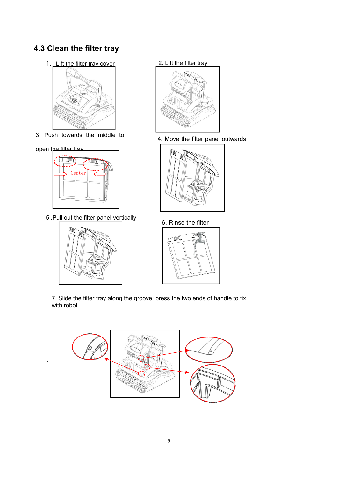## **4.3 Clean the filter tray**

1. Lift the filter tray cover 2. Lift the filter tray



3. Push towards the middle to

#### open the filter trav

.



5 .Pull out the filter panel vertically





4. Move the filter panel outwards



6. Rinse the filter



7. Slide the filter tray along the groove; press the two ends of handle to fix with robot

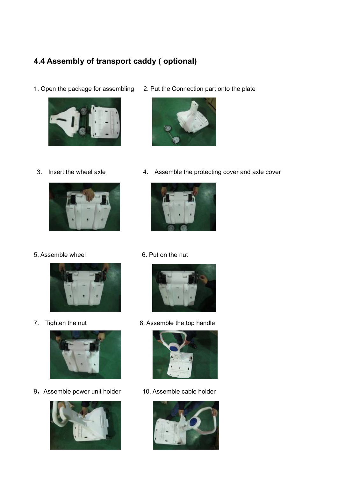## **4.4 Assembly of transport caddy ( optional)**

1. Open the package for assembling 2. Put the Connection part onto the plate





5, Assemble wheel 6. Put on the nut





9, Assemble power unit holder 10. Assemble cable holder





3. Insert the wheel axle 4. Assemble the protecting cover and axle cover





7. Tighten the nut 8. Assemble the top handle



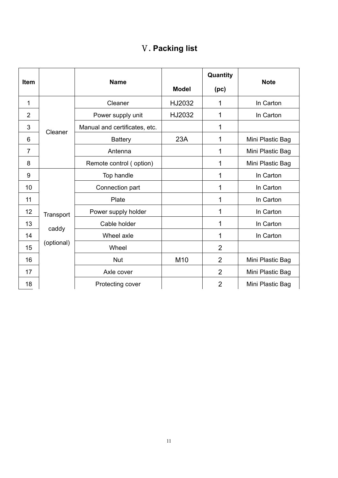|  | <b>V. Packing list</b> |  |
|--|------------------------|--|
|--|------------------------|--|

| <b>Item</b>    |                     | <b>Name</b>                   | <b>Model</b> | Quantity<br>(p <sub>c</sub> ) | <b>Note</b>      |
|----------------|---------------------|-------------------------------|--------------|-------------------------------|------------------|
| 1              |                     | Cleaner                       | HJ2032       | 1                             | In Carton        |
| $\overline{2}$ |                     | Power supply unit             | HJ2032       | 1                             | In Carton        |
| 3              | Cleaner             | Manual and certificates, etc. |              | 1                             |                  |
| 6              |                     | <b>Battery</b>                | 23A          | 1                             | Mini Plastic Bag |
| $\overline{7}$ |                     | Antenna                       |              | 1                             | Mini Plastic Bag |
| 8              |                     | Remote control (option)       |              | 1                             | Mini Plastic Bag |
| 9              |                     | Top handle                    |              | 1                             | In Carton        |
| 10             |                     | Connection part               |              | 1                             | In Carton        |
| 11             |                     | Plate                         |              | 1                             | In Carton        |
| 12             | Transport           | Power supply holder           |              | 1                             | In Carton        |
| 13             |                     | Cable holder                  |              | 1                             | In Carton        |
| 14             | caddy<br>(optional) | Wheel axle                    |              | 1                             | In Carton        |
| 15             |                     | Wheel                         |              | $\overline{2}$                |                  |
| 16             |                     | <b>Nut</b>                    | M10          | $\overline{2}$                | Mini Plastic Bag |
| 17             |                     | Axle cover                    |              | $\overline{2}$                | Mini Plastic Bag |
| 18             |                     | Protecting cover              |              | $\overline{2}$                | Mini Plastic Bag |